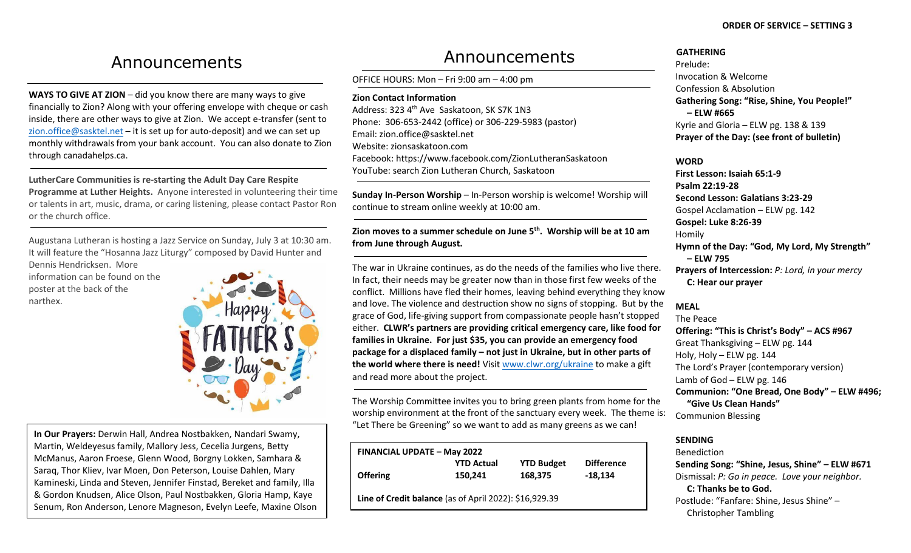# Announcements

**WAYS TO GIVE AT ZION** – did you know there are many ways to give financially to Zion? Along with your offering envelope with cheque or cash inside, there are other ways to give at Zion. We accept e-transfer (sent to [zion.office@sasktel.net](mailto:zion.office@sasktel.net) – it is set up for auto-deposit) and we can set up monthly withdrawals from your bank account. You can also donate to Zion through canadahelps.ca.

**LutherCare Communities is re-starting the Adult Day Care Respite Programme at Luther Heights.** Anyone interested in volunteering their time or talents in art, music, drama, or caring listening, please contact Pastor Ron or the church office.

Augustana Lutheran is hosting a Jazz Service on Sunday, July 3 at 10:30 am. It will feature the "Hosanna Jazz Liturgy" composed by David Hunter and

Dennis Hendricksen. More information can be found on the poster at the back of the narthex.



**In Our Prayers:** Derwin Hall, Andrea Nostbakken, Nandari Swamy, Martin, Weldeyesus family, Mallory Jess, Cecelia Jurgens, Betty McManus, Aaron Froese, Glenn Wood, Borgny Lokken, Samhara & Saraq, Thor Kliev, Ivar Moen, Don Peterson, Louise Dahlen, Mary Kamineski, Linda and Steven, Jennifer Finstad, Bereket and family, Illa & Gordon Knudsen, Alice Olson, Paul Nostbakken, Gloria Hamp, Kaye Senum, Ron Anderson, Lenore Magneson, Evelyn Leefe, Maxine Olson

# Announcements

OFFICE HOURS: Mon – Fri 9:00 am – 4:00 pm

**Zion Contact Information**

Address: 323 4<sup>th</sup> Ave Saskatoon, SK S7K 1N3 Phone: 306-653-2442 (office) or 306-229-5983 (pastor) Email[: zion.office@sasktel.net](mailto:zion.office@sasktel.net) Website: zionsaskatoon.com Facebook:<https://www.facebook.com/ZionLutheranSaskatoon> YouTube[: search](https://www.youtube.com/channel/UCo7oFRb9WluqtWmHpv-yVgw) Zion Lutheran Church, Saskatoon

**Sunday In-Person Worship** – In-Person worship is welcome! Worship will continue to stream online weekly at 10:00 am.

**Zion moves to a summer schedule on June 5th. Worship will be at 10 am from June through August.** 

The war in Ukraine continues, as do the needs of the families who live there. In fact, their needs may be greater now than in those first few weeks of the conflict. Millions have fled their homes, leaving behind everything they know and love. The violence and destruction show no signs of stopping. But by the grace of God, life-giving support from compassionate people hasn't stopped either. **CLWR's partners are providing critical emergency care, like food for families in Ukraine. For just \$35, you can provide an emergency food package for a displaced family – not just in Ukraine, but in other parts of the world where there is need!** Visi[t www.clwr.org/ukraine](http://www.clwr.org/ukraine) to make a gift and read more about the project.

The Worship Committee invites you to bring green plants from home for the worship environment at the front of the sanctuary every week. The theme is: "Let There be Greening" so we want to add as many greens as we can!

| <b>FINANCIAL UPDATE - May 2022</b>                     |                   |                   |                   |
|--------------------------------------------------------|-------------------|-------------------|-------------------|
|                                                        | <b>YTD Actual</b> | <b>YTD Budget</b> | <b>Difference</b> |
| <b>Offering</b>                                        | 150,241           | 168,375           | $-18,134$         |
| Line of Credit balance (as of April 2022): \$16,929.39 |                   |                   |                   |

### **GATHERING**

Prelude: Invocation & Welcome Confession & Absolution **Gathering Song: "Rise, Shine, You People!" – ELW #665**  Kyrie and Gloria – ELW pg. 138 & 139 **Prayer of the Day: (see front of bulletin)**

**WORD**

**First Lesson: Isaiah 65:1-9 Psalm 22:19-28 Second Lesson: Galatians 3:23-29** Gospel Acclamation – ELW pg. 142 **Gospel: Luke 8:26-39** Homily **Hymn of the Day: "God, My Lord, My Strength" – ELW 795 Prayers of Intercession:** *P: Lord, in your mercy* **C: Hear our prayer**

## **MEAL**

The Peace **Offering: "This is Christ's Body" – ACS #967** Great Thanksgiving – ELW pg. 144 Holy, Holy – ELW pg. 144 The Lord's Prayer (contemporary version) Lamb of God – ELW pg. 146 **Communion: "One Bread, One Body" – ELW #496; "Give Us Clean Hands"** Communion Blessing

# **SENDING**

Benediction **Sending Song: "Shine, Jesus, Shine" – ELW #671** Dismissal: *P: Go in peace. Love your neighbor.*  **C: Thanks be to God.**  Postlude: "Fanfare: Shine, Jesus Shine" – Christopher Tambling